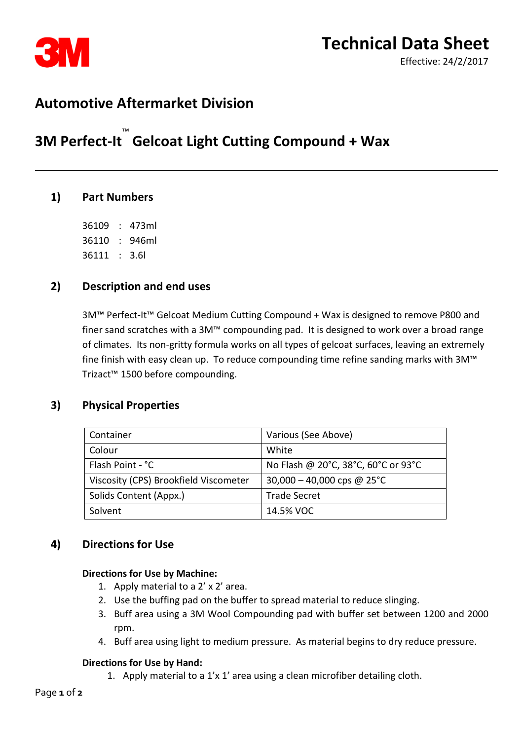

# **Automotive Aftermarket Division**

# **3M Perfect-It**™  **Gelcoat Light Cutting Compound + Wax**

# **1) Part Numbers**

36109 : 473ml 36110 : 946ml 36111 : 3.6l

# **2) Description and end uses**

3M™ Perfect-It™ Gelcoat Medium Cutting Compound + Wax is designed to remove P800 and finer sand scratches with a 3M™ compounding pad. It is designed to work over a broad range of climates. Its non-gritty formula works on all types of gelcoat surfaces, leaving an extremely fine finish with easy clean up. To reduce compounding time refine sanding marks with 3M™ Trizact™ 1500 before compounding.

# **3) Physical Properties**

| Container                             | Various (See Above)                 |
|---------------------------------------|-------------------------------------|
| Colour                                | White                               |
| Flash Point - °C                      | No Flash @ 20°C, 38°C, 60°C or 93°C |
| Viscosity (CPS) Brookfield Viscometer | 30,000 - 40,000 cps @ 25 °C         |
| Solids Content (Appx.)                | <b>Trade Secret</b>                 |
| Solvent                               | 14.5% VOC                           |

# **4) Directions for Use**

#### **Directions for Use by Machine:**

- 1. Apply material to a 2' x 2' area.
- 2. Use the buffing pad on the buffer to spread material to reduce slinging.
- 3. Buff area using a 3M Wool Compounding pad with buffer set between 1200 and 2000 rpm.
- 4. Buff area using light to medium pressure. As material begins to dry reduce pressure.

#### **Directions for Use by Hand:**

1. Apply material to a 1'x 1' area using a clean microfiber detailing cloth.